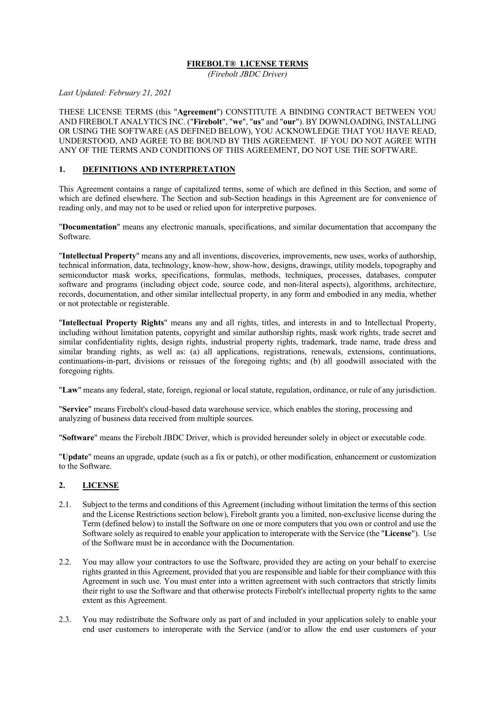#### **FIREBOLT® LICENSE TERMS**

*(Firebolt JBDC Driver)*

*Last Updated: February 21, 2021*

THESE LICENSE TERMS (this "**Agreement**") CONSTITUTE A BINDING CONTRACT BETWEEN YOU AND FIREBOLT ANALYTICS INC. ("**Firebolt**", "**we**", "**us**" and "**our**"). BY DOWNLOADING, INSTALLING OR USING THE SOFTWARE (AS DEFINED BELOW), YOU ACKNOWLEDGE THAT YOU HAVE READ, UNDERSTOOD, AND AGREE TO BE BOUND BY THIS AGREEMENT*.* IF YOU DO NOT AGREE WITH ANY OF THE TERMS AND CONDITIONS OF THIS AGREEMENT, DO NOT USE THE SOFTWARE.

#### **1. DEFINITIONS AND INTERPRETATION**

This Agreement contains a range of capitalized terms, some of which are defined in this Section, and some of which are defined elsewhere. The Section and sub-Section headings in this Agreement are for convenience of reading only, and may not to be used or relied upon for interpretive purposes.

"**Documentation**" means any electronic manuals, specifications, and similar documentation that accompany the Software.

"**Intellectual Property**" means any and all inventions, discoveries, improvements, new uses, works of authorship, technical information, data, technology, know-how, show-how, designs, drawings, utility models, topography and semiconductor mask works, specifications, formulas, methods, techniques, processes, databases, computer software and programs (including object code, source code, and non-literal aspects), algorithms, architecture, records, documentation, and other similar intellectual property, in any form and embodied in any media, whether or not protectable or registerable.

"**Intellectual Property Rights**" means any and all rights, titles, and interests in and to Intellectual Property, including without limitation patents, copyright and similar authorship rights, mask work rights, trade secret and similar confidentiality rights, design rights, industrial property rights, trademark, trade name, trade dress and similar branding rights, as well as: (a) all applications, registrations, renewals, extensions, continuations, continuations-in-part, divisions or reissues of the foregoing rights; and (b) all goodwill associated with the foregoing rights.

"**Law**" means any federal, state, foreign, regional or local statute, regulation, ordinance, or rule of any jurisdiction.

"**Service**" means Firebolt's cloud-based data warehouse service, which enables the storing, processing and analyzing of business data received from multiple sources.

"**Software**" means the Firebolt JBDC Driver, which is provided hereunder solely in object or executable code.

"**Update**" means an upgrade, update (such as a fix or patch), or other modification, enhancement or customization to the Software.

#### **2. LICENSE**

- 2.1. Subject to the terms and conditions of this Agreement (including without limitation the terms of this section and the License Restrictions section below), Firebolt grants you a limited, non-exclusive license during the Term (defined below) to install the Software on one or more computers that you own or control and use the Software solely as required to enable your application to interoperate with the Service (the "**License**"). Use of the Software must be in accordance with the Documentation.
- 2.2. You may allow your contractors to use the Software, provided they are acting on your behalf to exercise rights granted in this Agreement, provided that you are responsible and liable for their compliance with this Agreement in such use. You must enter into a written agreement with such contractors that strictly limits their right to use the Software and that otherwise protects Firebolt's intellectual property rights to the same extent as this Agreement.
- 2.3. You may redistribute the Software only as part of and included in your application solely to enable your end user customers to interoperate with the Service (and/or to allow the end user customers of your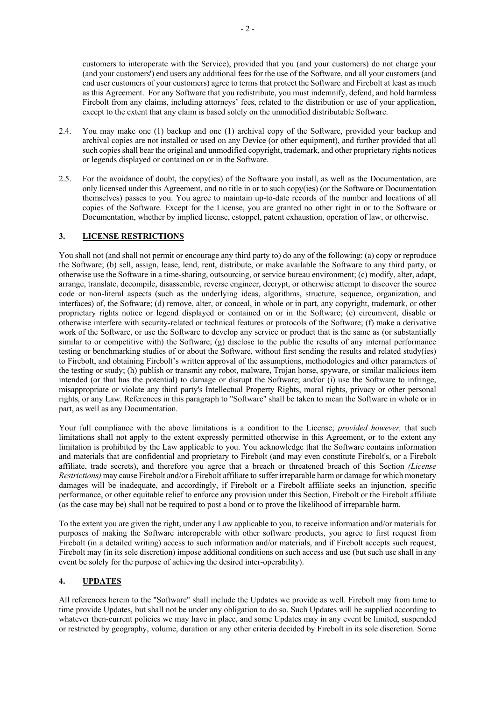Firebolt from any claims, including attorneys' fees, related to the distribution or use of your application,

2.4. You may make one (1) backup and one (1) archival copy of the Software, provided your backup and archival copies are not installed or used on any Device (or other equipment), and further provided that all such copies shall bear the original and unmodified copyright, trademark, and other proprietary rights notices or legends displayed or contained on or in the Software.

except to the extent that any claim is based solely on the unmodified distributable Software.

2.5. For the avoidance of doubt, the copy(ies) of the Software you install, as well as the Documentation, are only licensed under this Agreement, and no title in or to such copy(ies) (or the Software or Documentation themselves) passes to you. You agree to maintain up-to-date records of the number and locations of all copies of the Software. Except for the License, you are granted no other right in or to the Software or Documentation, whether by implied license, estoppel, patent exhaustion, operation of law, or otherwise.

#### **3. LICENSE RESTRICTIONS**

You shall not (and shall not permit or encourage any third party to) do any of the following: (a) copy or reproduce the Software; (b) sell, assign, lease, lend, rent, distribute, or make available the Software to any third party, or otherwise use the Software in a time-sharing, outsourcing, or service bureau environment; (c) modify, alter, adapt, arrange, translate, decompile, disassemble, reverse engineer, decrypt, or otherwise attempt to discover the source code or non-literal aspects (such as the underlying ideas, algorithms, structure, sequence, organization, and interfaces) of, the Software; (d) remove, alter, or conceal, in whole or in part, any copyright, trademark, or other proprietary rights notice or legend displayed or contained on or in the Software; (e) circumvent, disable or otherwise interfere with security-related or technical features or protocols of the Software; (f) make a derivative work of the Software, or use the Software to develop any service or product that is the same as (or substantially similar to or competitive with) the Software; (g) disclose to the public the results of any internal performance testing or benchmarking studies of or about the Software, without first sending the results and related study(ies) to Firebolt, and obtaining Firebolt's written approval of the assumptions, methodologies and other parameters of the testing or study; (h) publish or transmit any robot, malware, Trojan horse, spyware, or similar malicious item intended (or that has the potential) to damage or disrupt the Software; and/or (i) use the Software to infringe, misappropriate or violate any third party's Intellectual Property Rights, moral rights, privacy or other personal rights, or any Law. References in this paragraph to "Software" shall be taken to mean the Software in whole or in part, as well as any Documentation.

Your full compliance with the above limitations is a condition to the License; *provided however,* that such limitations shall not apply to the extent expressly permitted otherwise in this Agreement, or to the extent any limitation is prohibited by the Law applicable to you. You acknowledge that the Software contains information and materials that are confidential and proprietary to Firebolt (and may even constitute Firebolt's, or a Firebolt affiliate, trade secrets), and therefore you agree that a breach or threatened breach of this Section *(License Restrictions)* may cause Firebolt and/or a Firebolt affiliate to suffer irreparable harm or damage for which monetary damages will be inadequate, and accordingly, if Firebolt or a Firebolt affiliate seeks an injunction, specific performance, or other equitable relief to enforce any provision under this Section, Firebolt or the Firebolt affiliate (as the case may be) shall not be required to post a bond or to prove the likelihood of irreparable harm.

To the extent you are given the right, under any Law applicable to you, to receive information and/or materials for purposes of making the Software interoperable with other software products, you agree to first request from Firebolt (in a detailed writing) access to such information and/or materials, and if Firebolt accepts such request, Firebolt may (in its sole discretion) impose additional conditions on such access and use (but such use shall in any event be solely for the purpose of achieving the desired inter-operability).

## **4. UPDATES**

All references herein to the "Software" shall include the Updates we provide as well. Firebolt may from time to time provide Updates, but shall not be under any obligation to do so. Such Updates will be supplied according to whatever then-current policies we may have in place, and some Updates may in any event be limited, suspended or restricted by geography, volume, duration or any other criteria decided by Firebolt in its sole discretion. Some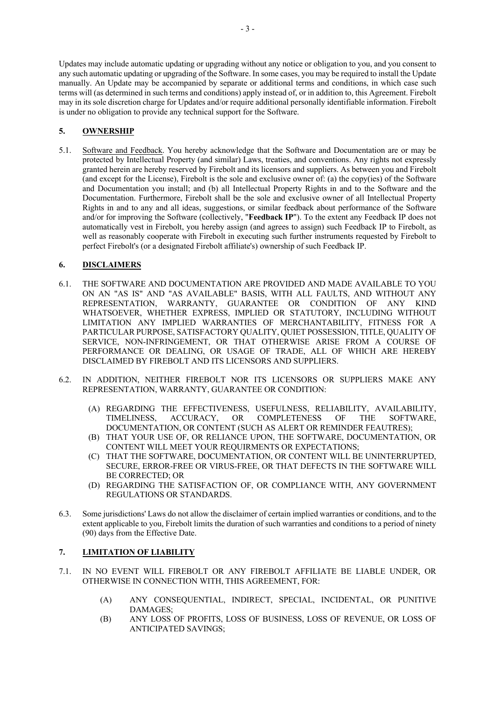Updates may include automatic updating or upgrading without any notice or obligation to you, and you consent to any such automatic updating or upgrading of the Software. In some cases, you may be required to install the Update manually. An Update may be accompanied by separate or additional terms and conditions, in which case such terms will (as determined in such terms and conditions) apply instead of, or in addition to, this Agreement. Firebolt may in its sole discretion charge for Updates and/or require additional personally identifiable information. Firebolt is under no obligation to provide any technical support for the Software.

# **5. OWNERSHIP**

5.1. Software and Feedback. You hereby acknowledge that the Software and Documentation are or may be protected by Intellectual Property (and similar) Laws, treaties, and conventions. Any rights not expressly granted herein are hereby reserved by Firebolt and its licensors and suppliers. As between you and Firebolt (and except for the License), Firebolt is the sole and exclusive owner of: (a) the copy(ies) of the Software and Documentation you install; and (b) all Intellectual Property Rights in and to the Software and the Documentation. Furthermore, Firebolt shall be the sole and exclusive owner of all Intellectual Property Rights in and to any and all ideas, suggestions, or similar feedback about performance of the Software and/or for improving the Software (collectively, "**Feedback IP**"). To the extent any Feedback IP does not automatically vest in Firebolt, you hereby assign (and agrees to assign) such Feedback IP to Firebolt, as well as reasonably cooperate with Firebolt in executing such further instruments requested by Firebolt to perfect Firebolt's (or a designated Firebolt affiliate's) ownership of such Feedback IP.

## **6. DISCLAIMERS**

- 6.1. THE SOFTWARE AND DOCUMENTATION ARE PROVIDED AND MADE AVAILABLE TO YOU ON AN "AS IS" AND "AS AVAILABLE" BASIS, WITH ALL FAULTS, AND WITHOUT ANY REPRESENTATION, WARRANTY, GUARANTEE OR CONDITION OF ANY KIND WHATSOEVER, WHETHER EXPRESS, IMPLIED OR STATUTORY, INCLUDING WITHOUT LIMITATION ANY IMPLIED WARRANTIES OF MERCHANTABILITY, FITNESS FOR A PARTICULAR PURPOSE, SATISFACTORY QUALITY, QUIET POSSESSION, TITLE, QUALITY OF SERVICE, NON-INFRINGEMENT, OR THAT OTHERWISE ARISE FROM A COURSE OF PERFORMANCE OR DEALING, OR USAGE OF TRADE, ALL OF WHICH ARE HEREBY DISCLAIMED BY FIREBOLT AND ITS LICENSORS AND SUPPLIERS.
- 6.2. IN ADDITION, NEITHER FIREBOLT NOR ITS LICENSORS OR SUPPLIERS MAKE ANY REPRESENTATION, WARRANTY, GUARANTEE OR CONDITION:
	- (A) REGARDING THE EFFECTIVENESS, USEFULNESS, RELIABILITY, AVAILABILITY, TIMELINESS, ACCURACY, OR COMPLETENESS OF THE SOFTWARE, DOCUMENTATION, OR CONTENT (SUCH AS ALERT OR REMINDER FEAUTRES);
	- (B) THAT YOUR USE OF, OR RELIANCE UPON, THE SOFTWARE, DOCUMENTATION, OR CONTENT WILL MEET YOUR REQUIRMENTS OR EXPECTATIONS;
	- (C) THAT THE SOFTWARE, DOCUMENTATION, OR CONTENT WILL BE UNINTERRUPTED, SECURE, ERROR-FREE OR VIRUS-FREE, OR THAT DEFECTS IN THE SOFTWARE WILL BE CORRECTED; OR
	- (D) REGARDING THE SATISFACTION OF, OR COMPLIANCE WITH, ANY GOVERNMENT REGULATIONS OR STANDARDS.
- 6.3. Some jurisdictions' Laws do not allow the disclaimer of certain implied warranties or conditions, and to the extent applicable to you, Firebolt limits the duration of such warranties and conditions to a period of ninety (90) days from the Effective Date.

## **7. LIMITATION OF LIABILITY**

- 7.1. IN NO EVENT WILL FIREBOLT OR ANY FIREBOLT AFFILIATE BE LIABLE UNDER, OR OTHERWISE IN CONNECTION WITH, THIS AGREEMENT, FOR:
	- (A) ANY CONSEQUENTIAL, INDIRECT, SPECIAL, INCIDENTAL, OR PUNITIVE DAMAGES;
	- (B) ANY LOSS OF PROFITS, LOSS OF BUSINESS, LOSS OF REVENUE, OR LOSS OF ANTICIPATED SAVINGS;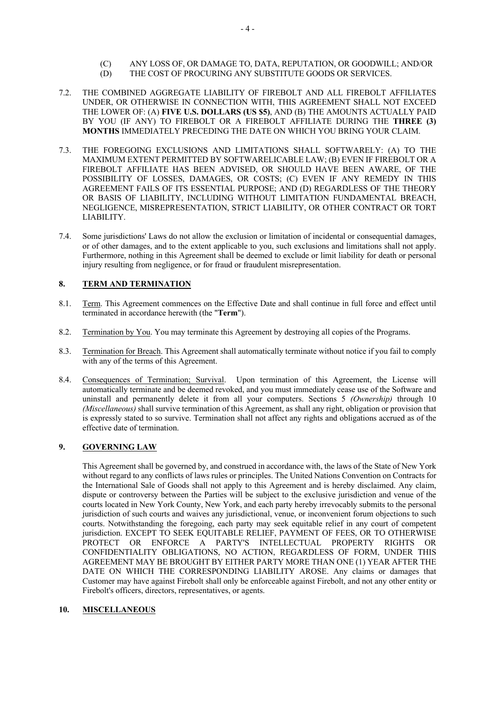- (C) ANY LOSS OF, OR DAMAGE TO, DATA, REPUTATION, OR GOODWILL; AND/OR
- (D) THE COST OF PROCURING ANY SUBSTITUTE GOODS OR SERVICES.
- 7.2. THE COMBINED AGGREGATE LIABILITY OF FIREBOLT AND ALL FIREBOLT AFFILIATES UNDER, OR OTHERWISE IN CONNECTION WITH, THIS AGREEMENT SHALL NOT EXCEED THE LOWER OF: (A) **FIVE U.S. DOLLARS (US \$5)**, AND (B) THE AMOUNTS ACTUALLY PAID BY YOU (IF ANY) TO FIREBOLT OR A FIREBOLT AFFILIATE DURING THE **THREE (3) MONTHS** IMMEDIATELY PRECEDING THE DATE ON WHICH YOU BRING YOUR CLAIM.
- 7.3. THE FOREGOING EXCLUSIONS AND LIMITATIONS SHALL SOFTWARELY: (A) TO THE MAXIMUM EXTENT PERMITTED BY SOFTWARELICABLE LAW; (B) EVEN IF FIREBOLT OR A FIREBOLT AFFILIATE HAS BEEN ADVISED, OR SHOULD HAVE BEEN AWARE, OF THE POSSIBILITY OF LOSSES, DAMAGES, OR COSTS; (C) EVEN IF ANY REMEDY IN THIS AGREEMENT FAILS OF ITS ESSENTIAL PURPOSE; AND (D) REGARDLESS OF THE THEORY OR BASIS OF LIABILITY, INCLUDING WITHOUT LIMITATION FUNDAMENTAL BREACH, NEGLIGENCE, MISREPRESENTATION, STRICT LIABILITY, OR OTHER CONTRACT OR TORT LIABILITY.
- 7.4. Some jurisdictions' Laws do not allow the exclusion or limitation of incidental or consequential damages, or of other damages, and to the extent applicable to you, such exclusions and limitations shall not apply. Furthermore, nothing in this Agreement shall be deemed to exclude or limit liability for death or personal injury resulting from negligence, or for fraud or fraudulent misrepresentation.

# **8. TERM AND TERMINATION**

- 8.1. Term. This Agreement commences on the Effective Date and shall continue in full force and effect until terminated in accordance herewith (the "**Term**").
- 8.2. Termination by You. You may terminate this Agreement by destroying all copies of the Programs.
- 8.3. Termination for Breach. This Agreement shall automatically terminate without notice if you fail to comply with any of the terms of this Agreement.
- 8.4. Consequences of Termination; Survival. Upon termination of this Agreement, the License will automatically terminate and be deemed revoked, and you must immediately cease use of the Software and uninstall and permanently delete it from all your computers. Sections 5 *(Ownership)* through 10 *(Miscellaneous)* shall survive termination of this Agreement, as shall any right, obligation or provision that is expressly stated to so survive. Termination shall not affect any rights and obligations accrued as of the effective date of termination.

## **9. GOVERNING LAW**

This Agreement shall be governed by, and construed in accordance with, the laws of the State of New York without regard to any conflicts of laws rules or principles. The United Nations Convention on Contracts for the International Sale of Goods shall not apply to this Agreement and is hereby disclaimed. Any claim, dispute or controversy between the Parties will be subject to the exclusive jurisdiction and venue of the courts located in New York County, New York, and each party hereby irrevocably submits to the personal jurisdiction of such courts and waives any jurisdictional, venue, or inconvenient forum objections to such courts. Notwithstanding the foregoing, each party may seek equitable relief in any court of competent jurisdiction. EXCEPT TO SEEK EQUITABLE RELIEF, PAYMENT OF FEES, OR TO OTHERWISE PROTECT OR ENFORCE A PARTY'S INTELLECTUAL PROPERTY RIGHTS OR CONFIDENTIALITY OBLIGATIONS, NO ACTION, REGARDLESS OF FORM, UNDER THIS AGREEMENT MAY BE BROUGHT BY EITHER PARTY MORE THAN ONE (1) YEAR AFTER THE DATE ON WHICH THE CORRESPONDING LIABILITY AROSE. Any claims or damages that Customer may have against Firebolt shall only be enforceable against Firebolt, and not any other entity or Firebolt's officers, directors, representatives, or agents.

## **10. MISCELLANEOUS**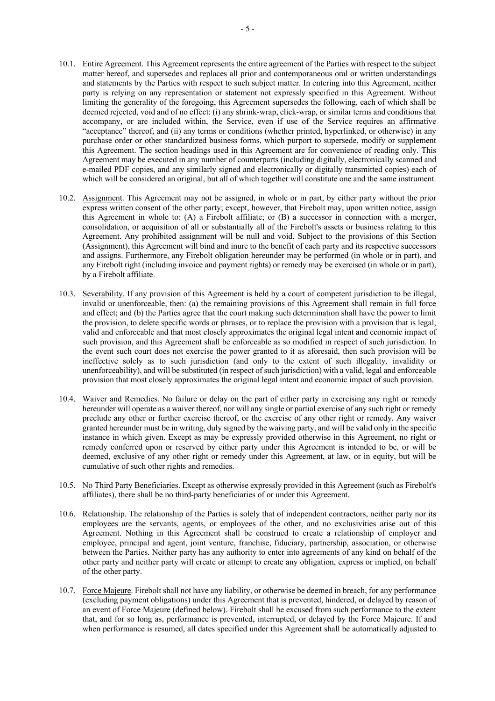- 10.1. Entire Agreement. This Agreement represents the entire agreement of the Parties with respect to the subject matter hereof, and supersedes and replaces all prior and contemporaneous oral or written understandings and statements by the Parties with respect to such subject matter. In entering into this Agreement, neither party is relying on any representation or statement not expressly specified in this Agreement. Without limiting the generality of the foregoing, this Agreement supersedes the following, each of which shall be deemed rejected, void and of no effect: (i) any shrink-wrap, click-wrap, or similar terms and conditions that accompany, or are included within, the Service, even if use of the Service requires an affirmative "acceptance" thereof, and (ii) any terms or conditions (whether printed, hyperlinked, or otherwise) in any purchase order or other standardized business forms, which purport to supersede, modify or supplement this Agreement. The section headings used in this Agreement are for convenience of reading only. This Agreement may be executed in any number of counterparts (including digitally, electronically scanned and e-mailed PDF copies, and any similarly signed and electronically or digitally transmitted copies) each of which will be considered an original, but all of which together will constitute one and the same instrument.
- 10.2. Assignment. This Agreement may not be assigned, in whole or in part, by either party without the prior express written consent of the other party; except, however, that Firebolt may, upon written notice, assign this Agreement in whole to: (A) a Firebolt affiliate; or (B) a successor in connection with a merger, consolidation, or acquisition of all or substantially all of the Firebolt's assets or business relating to this Agreement. Any prohibited assignment will be null and void. Subject to the provisions of this Section (Assignment), this Agreement will bind and inure to the benefit of each party and its respective successors and assigns. Furthermore, any Firebolt obligation hereunder may be performed (in whole or in part), and any Firebolt right (including invoice and payment rights) or remedy may be exercised (in whole or in part), by a Firebolt affiliate.
- 10.3. Severability. If any provision of this Agreement is held by a court of competent jurisdiction to be illegal, invalid or unenforceable, then: (a) the remaining provisions of this Agreement shall remain in full force and effect; and (b) the Parties agree that the court making such determination shall have the power to limit the provision, to delete specific words or phrases, or to replace the provision with a provision that is legal, valid and enforceable and that most closely approximates the original legal intent and economic impact of such provision, and this Agreement shall be enforceable as so modified in respect of such jurisdiction. In the event such court does not exercise the power granted to it as aforesaid, then such provision will be ineffective solely as to such jurisdiction (and only to the extent of such illegality, invalidity or unenforceability), and will be substituted (in respect of such jurisdiction) with a valid, legal and enforceable provision that most closely approximates the original legal intent and economic impact of such provision.
- 10.4. Waiver and Remedies. No failure or delay on the part of either party in exercising any right or remedy hereunder will operate as a waiver thereof, nor will any single or partial exercise of any such right or remedy preclude any other or further exercise thereof, or the exercise of any other right or remedy. Any waiver granted hereunder must be in writing, duly signed by the waiving party, and will be valid only in the specific instance in which given. Except as may be expressly provided otherwise in this Agreement, no right or remedy conferred upon or reserved by either party under this Agreement is intended to be, or will be deemed, exclusive of any other right or remedy under this Agreement, at law, or in equity, but will be cumulative of such other rights and remedies.
- 10.5. No Third Party Beneficiaries. Except as otherwise expressly provided in this Agreement (such as Firebolt's affiliates), there shall be no third-party beneficiaries of or under this Agreement.
- 10.6. Relationship. The relationship of the Parties is solely that of independent contractors, neither party nor its employees are the servants, agents, or employees of the other, and no exclusivities arise out of this Agreement. Nothing in this Agreement shall be construed to create a relationship of employer and employee, principal and agent, joint venture, franchise, fiduciary, partnership, association, or otherwise between the Parties. Neither party has any authority to enter into agreements of any kind on behalf of the other party and neither party will create or attempt to create any obligation, express or implied, on behalf of the other party.
- 10.7. Force Majeure. Firebolt shall not have any liability, or otherwise be deemed in breach, for any performance (excluding payment obligations) under this Agreement that is prevented, hindered, or delayed by reason of an event of Force Majeure (defined below). Firebolt shall be excused from such performance to the extent that, and for so long as, performance is prevented, interrupted, or delayed by the Force Majeure. If and when performance is resumed, all dates specified under this Agreement shall be automatically adjusted to